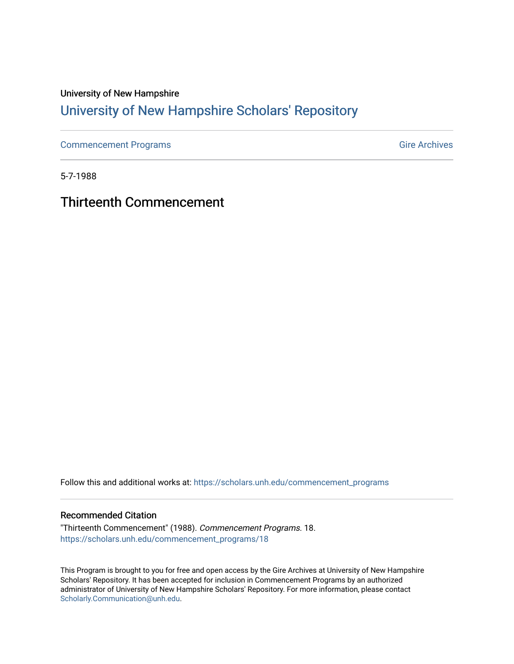### University of New Hampshire [University of New Hampshire Scholars' Repository](https://scholars.unh.edu/)

[Commencement Programs](https://scholars.unh.edu/commencement_programs) Gire Archives

5-7-1988

Thirteenth Commencement

Follow this and additional works at: [https://scholars.unh.edu/commencement\\_programs](https://scholars.unh.edu/commencement_programs?utm_source=scholars.unh.edu%2Fcommencement_programs%2F18&utm_medium=PDF&utm_campaign=PDFCoverPages) 

#### Recommended Citation

"Thirteenth Commencement" (1988). Commencement Programs. 18. [https://scholars.unh.edu/commencement\\_programs/18](https://scholars.unh.edu/commencement_programs/18?utm_source=scholars.unh.edu%2Fcommencement_programs%2F18&utm_medium=PDF&utm_campaign=PDFCoverPages)

This Program is brought to you for free and open access by the Gire Archives at University of New Hampshire Scholars' Repository. It has been accepted for inclusion in Commencement Programs by an authorized administrator of University of New Hampshire Scholars' Repository. For more information, please contact [Scholarly.Communication@unh.edu](mailto:Scholarly.Communication@unh.edu).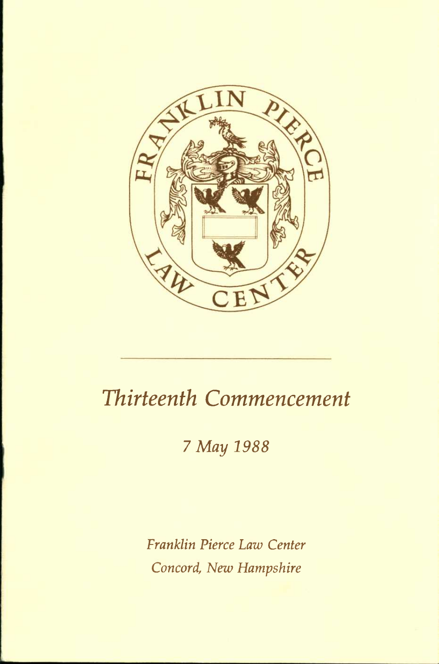

# *Thirteenth Commencement*

## **7** *May 1988*

*Franklin Pierce Law Center Concord, New Hampshire*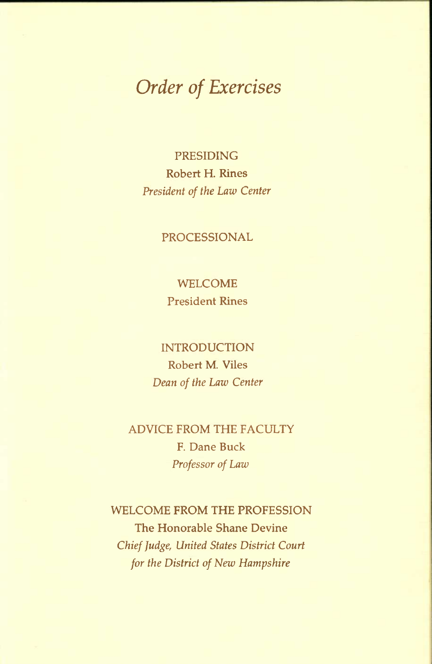## *Order of Exercises*

PRESIDING Robert H. Rines *President of the Law Center* 

#### PROCESSIONAL

WELCOME President Rines

INTRODUCTION Robert M. Viles *Dean of the Law Center* 

ADVICE FROM THE FACULTY F. Dane Buck *Professor of Law* 

WELCOME FROM THE PROFESSION The Honorable Shane Devine *Chief Judge, United States District Court for the District of New Hampshire*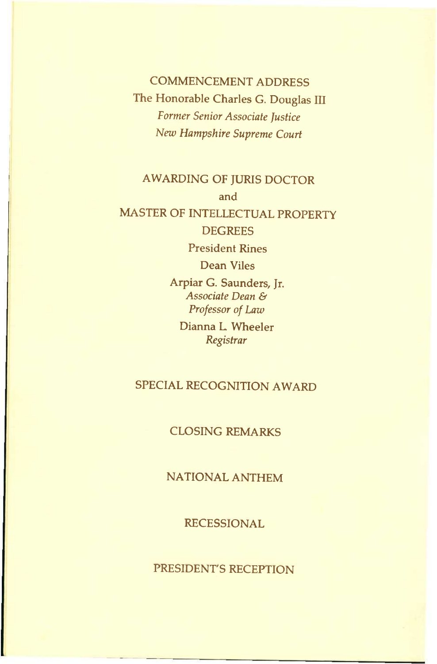COMMENCEMENT ADDRESS The Honorable Charles G. Douglas III *Former Senior Associate Justice New Hampshire Supreme Court* 

### AWARDING OF JURIS DOCTOR and MASTER OF INTELLECTUAL PROPERTY

**DEGREES** 

President Rines

Dean Viles

Arpiar G. Saunders, Jr. *Associate Dean & Professor of Law* 

Dianna L Wheeler *Registrar* 

#### SPECIAL RECOGNITION AWARD

#### CLOSING REMARKS

NATIONAL ANTHEM

RECESSIONAL

PRESIDENT'S RECEPTION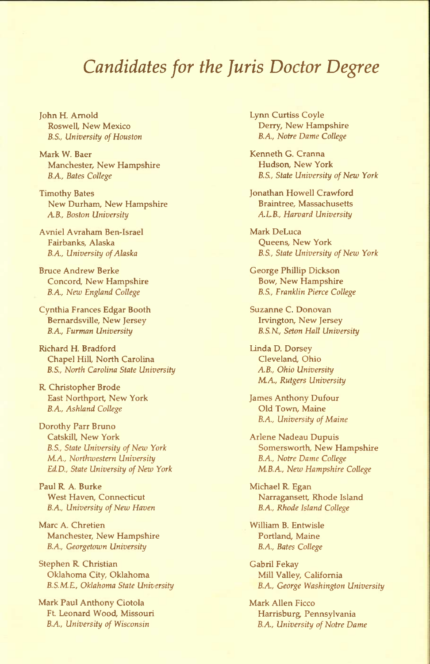### *Candidates for the Juris Doctor Degree*

John H. Arnold Roswell, New Mexico *B.S., University of Houston* 

Mark W. Baer Manchester, New Hampshire B.A, *Bates College* 

Timothy Bates New Durham, New Hampshire *A.B., Boston University* 

Avniel Avraham Ben-Israel Fairbanks, Alaska B.A, *University of Alaska* 

Bruce Andrew Berke Concord, New Hampshire B.A, *New England College* 

Cynthia Frances Edgar Booth Bemardsville, New Jersey B.A, *Furman University* 

Richard H. Bradford Chapel Hill, North Carolina *B.S., North Carolina State University* 

R Christopher Brode East Northport New York B.A, *Ashland College* 

Dorothy Parr Bruno Catskill, New York B.S., *State University of New York*  MA, *Northwestern University EdD., State University of New York* 

Paul R A. Burke West Haven, Connecticut B.A, *University of New Haven* 

Marc A. Chretien Manchester, New Hampshire B.A, *Georgetown University* 

Stephen R Christian Oklahoma City, Oklahoma *B.S.M.E, Oklahoma State University* 

Mark Paul Anthony Ciotola Ft. Leonard Wood, Missouri *B.A., University of Wisconsin* 

Lynn Curtiss Coyle Derry, New Hampshire B.A, *Notre Dame College* 

Kenneth G. Cranna Hudson, New York *B.S., State University of New York* 

Jonathan Howell Crawford Braintree, Massachusetts *A.LB., Harvard University* 

Mark DeLuca Queens, New York *B.S., State University of New York* 

George Phillip Dickson Bow, New Hampshire B.S., *Franklin Pierce College* 

Suzanne C. Donovan Irvington, New Jersey *B.S.N., Seton Hall University* 

Linda D. Dorsey Cleveland, Ohio *AB., Ohio University*  MA, *Rutgers University* 

James Anthony Dufour Old Town, Maine B.A, *University of Maine* 

Arlene Nadeau Dupuis Somersworth, New Hampshire B.A, *Notre Dame College*  MB.A, *New Hampshire College* 

Michael R. Egan Narragansett, Rhode Island B.A., *Rhode Island College* 

William B. Entwisle Portland, Maine B.A, *Bates College* 

Gabril Fekay Mill Valley, California B.A, *George Washington University* 

Mark Allen Ficco Harrisburg, Pennsylvania *B.A., University of Notre Dame*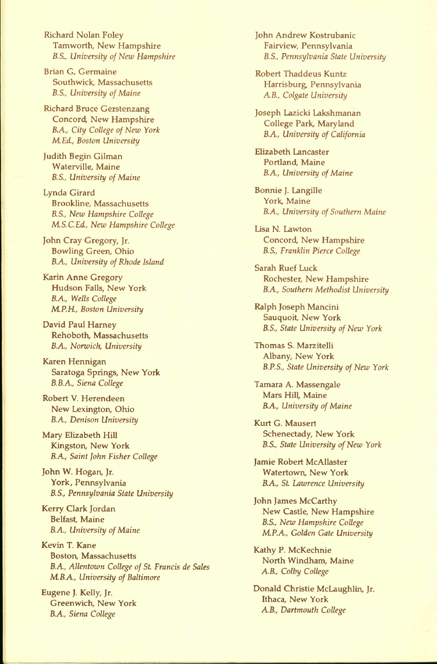Richard Nolan Foley Tamworth, New Hampshire *B.S., University of New Hampshire* 

Brian G. Germaine Southwick, Massachusetts *B.S., University of Maine* 

Richard Bruce Gerstenzang Concord, New Hampshire *B.A, City College of New York MEd., Boston University* 

Judith Begin Gilman Waterville, Maine *B.S., University of Maine* 

Lynda Girard Brookline, Massachusetts *B.S., New Hampshire College MS.C.Ed., New Hampshire College* 

John Cray Gregory, Jr. Bowling Green, Ohio *B.A, University of Rhode Island* 

Karin Anne Gregory Hudson Falls, New York B.A, *Wells College MP.H., Boston University* 

David Paul Harney Rehoboth, Massachusetts B.A, *Norwich, University* 

Karen Hennigan Saratoga Springs, New York B.B.A, *Siena College* 

Robert V. Herendeen New Lexington, Ohio B.A, *Denison University* 

Mary Elizabeth Hill Kingston, New York B.A, *Saint John Fisher College* 

John W. Hogan, Jr. York, Pennsylvania B.S., *Pennsylvania State University* 

Kerry Clark Jordan Belfast, Maine B.A, *University of Maine* 

Kevin T. Kane Boston, Massachusetts B.A, *Allentown College of St Francis de Sales MB.A, University of Baltimore* 

Eugene J. Kelly, Jr. Greenwich, New York B.A, *Siena College* 

John Andrew Kostrubanic Fairview, Pennsylvania B.S., *Pennsylvania State University* 

Robert Thaddeus Kuntz Harrisburg, Pennsylvania *AB., Colgate University* 

Joseph Lazicki Lakshmanan College Park, Maryland B.A, *University of California* 

Elizabeth Lancaster Portland, Maine *B.A., University of Maine* 

Bonnie J. Langille York, Maine B.A., *University of Southern Maine* 

Lisa N. Lawton Concord, New Hampshire *B.S., Franklin Pierce College* 

Sarah Ruef Luck Rochester, New Hampshire B.A, *Southern Methodist University* 

Ralph Joseph Mancini Sauquoit, New York B.S., *State University of New York* 

Thomas S. Marzitelli Albany, New York *B.P.S., State University of New York* 

Tamara A. Massengale Mars Hill, Maine B.A, *University of Maine* 

Kurt G. Mausert Schenectady, New York *B.S., State University of New York* 

Jamie Robert McAllaster Watertown, New York B.A, *St Lawrence University* 

John James McCarthy New Castle, New Hampshire B.S., *New Hampshire College MP.A, Golden Gate University* 

Kathy P. McKechnie North Windham, Maine *AB., Colby College* 

Donald Christie McLaughlin, Jr. Ithaca, New York *AB., Dartmouth College*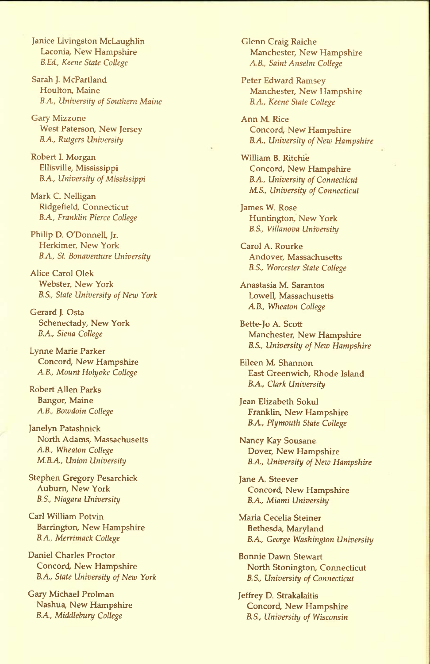Janice Livingston McLaughlin Laconia, New Hampshire *B.Ed., Keene State College* 

Sarah J. McPartland Houlton, Maine *B.A., University of Southern Maine* 

Gary Mizzone West Paterson, New Jersey *B.A, Rutgers University* 

Robert L Morgan Ellisville, Mississippi *B.A, University of Mississippi* 

Mark C. Nelligan Ridgefield, Connecticut *B.A, Franklin Pierce College* 

Philip D. O'Donnell, Jr. Herkimer, New York *B.A, St Bonaventure University* 

Alice Carol Olek Webster, New York *B.S., State University of New York* 

Gerard J. Osta Schenectady, New York *B.A, Siena College* 

Lynne Marie Parker Concord, New Hampshire *A.B., Mount Holyoke College* 

Robert Allen Parks Bangor, Maine *AB., Bowdoin College* 

Janelyn Patashnick North Adams, Massachusetts *AB., Wheaton College*  MB.A, *Union University* 

Stephen Gregory Pesarchick Auburn, New York *B.S., Niagara University* 

Carl William Potvin Barrington, New Hampshire *B.A., Merrimack College* 

Daniel Charles Proctor Concord, New Hampshire B.A, *State University of New York* 

Gary Michael Prolman Nashua, New Hampshire B.A, *Middlebury College* 

Glenn Craig Raiche Manchester, New Hampshire AB., *Saint Anselm College* 

Peter Edward Ramsey Manchester, New Hampshire *B.A., Keene State College* 

Ann M. Rice Concord, New Hampshire B.A, *University of New Hampshire* 

William B. Ritchie Concord, New Hampshire B.A, *University of Connecticut MS., University of Connecticut* 

James W. Rose Huntington, New York B.S., *Villanova University* 

Carol A. Rourke Andover, Massachusetts *B.S., Worcester State College* 

Anastasia M. Sarantos Lowell, Massachusetts *AB., Wheaton College* 

Bette-Jo A. Scott Manchester, New Hampshire *B.S., University of New Hampshire* 

Eileen M. Shannon East Greenwich, Rhode Island B.A, *Clark University* 

Jean Elizabeth Sokul Franklin, New Hampshire B.A, *Plymouth State College* 

Nancy Kay Sousane Dover, New Hampshire B.A, *University of New Hampshire* 

Jane A. Steever Concord, New Hampshire B.A, *Miami University* 

Maria Cecelia Steiner Bethesda, Maryland B.A, *George Washington University* 

Bonnie Dawn Stewart North Stonington, Connecticut B.S., *University of Connecticut* 

Jeffrey D. Strakalaitis Concord, New Hampshire B.S., *University of Wisconsin*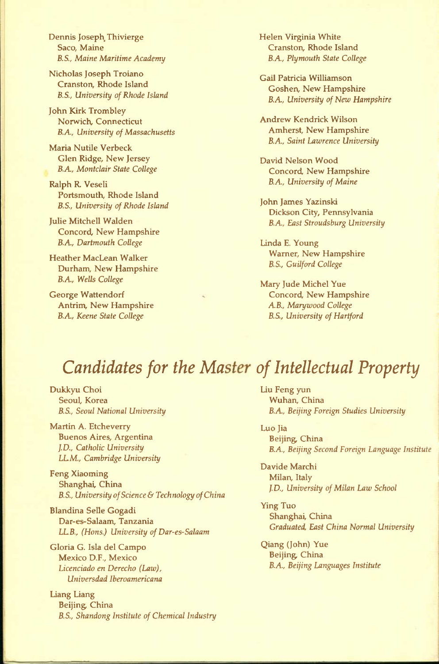Dennis Joseph, Thivierge Saco, Maine *B.S., Maine Maritime Academy* 

Nicholas Joseph Troiano Cranston, Rhode Island *B.S., University of Rhode Island* 

John Kirk Trombley Norwich, Connecticut B.A, *University of Massachusetts* 

Maria Nutile Verbeck Glen Ridge, New Jersey *B.A, Montclair State College* 

Ralph R Veseli Portsmouth, Rhode Island *B.S., University of Rhode Island* 

Julie Mitchell Walden Concord, New Hampshire B.A, *Dartmouth College* 

Heather MacLean Walker Durham, New Hampshire B.A, *Wells College* 

George Wattendorf Antrim, New Hampshire B.A, *Keene State College* 

Helen Virginia White Cranston, Rhode Island B.A, *Plymouth State College* 

Gail Patricia Williamson Goshen, New Hampshire B.A, *University of New Hampshire* 

Andrew Kendrick Wilson Amherst, New Hampshire B.A, *Saint Lawrence University* 

David Nelson Wood Concord, New Hampshire B.A, *University of Maine* 

John James Yazinski Dickson City, Pennsylvania B.A, *East Stroudsburg University* 

Linda E. Young Warner, New Hampshire B.S., *Guilford College* 

Mary Jude Michel Yue Concord, New Hampshire *AB., Mary wood College B.S., University of Hartford* 

## *Candidates for the Master of Intellectual Property*

Dukkyu Choi Seoul, Korea *B.S., Seoul National University* 

Martin A. Etcheverry Buenos Aires, Argentina *J.D., Catholic University LLM., Cambridge University* 

Feng Xiaoming Shanghai, China *B.S., University of Science & Technology of China* 

Blandina Selle Gogadi Dar-es-Salaam, Tanzania *LLB; (Hons.) University of Dar-es-Salaam* 

Gloria G. Isla del Campo Mexico D.F., Mexico *Licenciado en Derecho (Law), Universdad Iberoamericana* 

Liang Liang Beijing, China *B.S., Shandong Institute of Chemical Industry*  Liu Feng yun Wuhan, China B.A, *Beijing Foreign Studies University* 

Luo Jia Beijing, China B.A, *Beijing Second Foreign Language Institute* 

Davide Marchi Milan, Italy *J.D., University of Milan Law School* 

Ying Tuo Shanghai, China *Graduated, East China Normal University* 

Qiang (John) Yue Beijing, China B.A, *Beijing Languages Institute*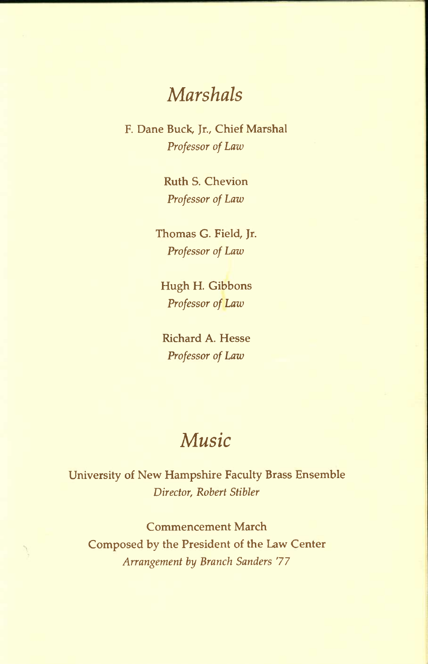## *Marshals*

F. Dane Buck, Jr., Chief Marshal *Professor of Law* 

> Ruth S. Chevion *Professor of Law*

Thomas G. Field, Jr. *Professor of Law* 

Hugh H. Gibbons *Professor of Law* 

Richard A. Hesse *Professor of Law* 

## *Music*

University of New Hampshire Faculty Brass Ensemble *Director, Robert Stibler* 

Commencement March Composed by the President of the Law Center *Arrangement by Branch Sanders* 77